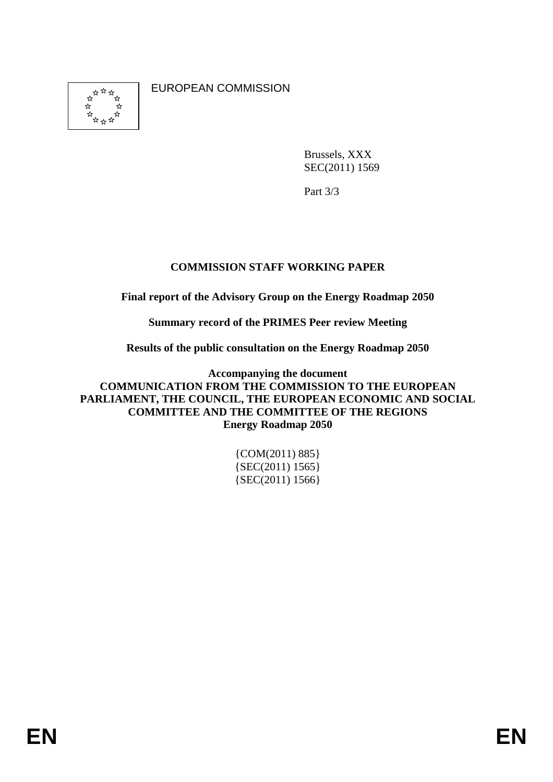女女女女  EUROPEAN COMMISSION

Brussels, XXX SEC(2011) 1569

Part 3/3

# **COMMISSION STAFF WORKING PAPER**

**Final report of the Advisory Group on the Energy Roadmap 2050** 

**Summary record of the PRIMES Peer review Meeting** 

**Results of the public consultation on the Energy Roadmap 2050** 

**Accompanying the document COMMUNICATION FROM THE COMMISSION TO THE EUROPEAN PARLIAMENT, THE COUNCIL, THE EUROPEAN ECONOMIC AND SOCIAL COMMITTEE AND THE COMMITTEE OF THE REGIONS Energy Roadmap 2050** 

> {COM(2011) 885}  ${SEC(2011) 1565}$ {SEC(2011) 1566}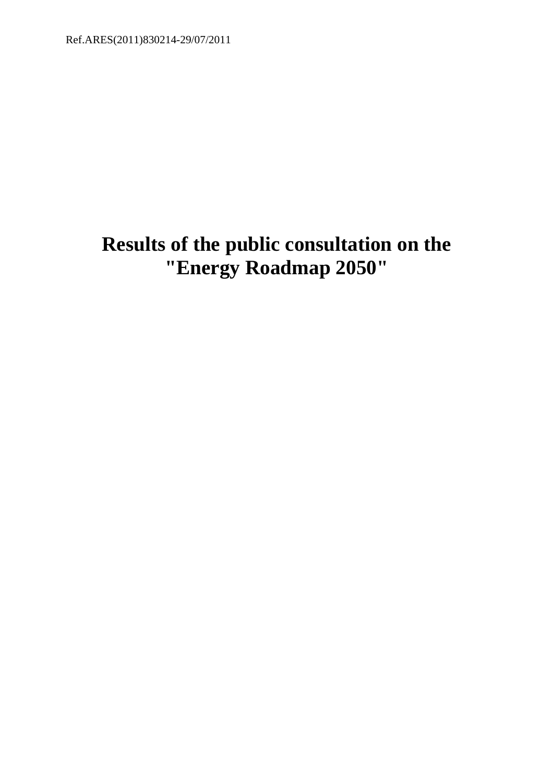# **Results of the public consultation on the "Energy Roadmap 2050"**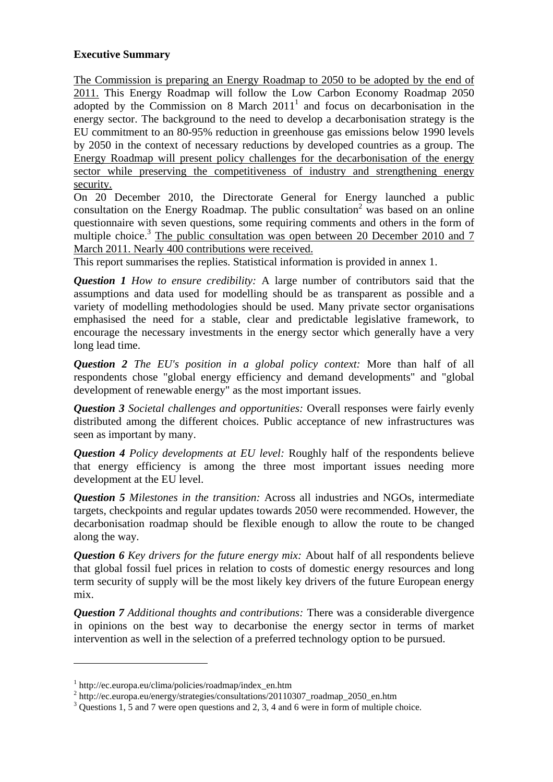#### **Executive Summary**

The Commission is preparing an Energy Roadmap to 2050 to be adopted by the end of 2011. This Energy Roadmap will follow the Low Carbon Economy Roadmap 2050 adopted by the Commission on 8 March  $2011<sup>1</sup>$  and focus on decarbonisation in the energy sector. The background to the need to develop a decarbonisation strategy is the EU commitment to an 80-95% reduction in greenhouse gas emissions below 1990 levels by 2050 in the context of necessary reductions by developed countries as a group. The Energy Roadmap will present policy challenges for the decarbonisation of the energy sector while preserving the competitiveness of industry and strengthening energy security.

On 20 December 2010, the Directorate General for Energy launched a public consultation on the Energy Roadmap. The public consultation<sup>2</sup> was based on an online questionnaire with seven questions, some requiring comments and others in the form of multiple choice.<sup>3</sup> The public consultation was open between 20 December 2010 and 7 March 2011. Nearly 400 contributions were received.

This report summarises the replies. Statistical information is provided in annex 1.

*Question 1 How to ensure credibility:* A large number of contributors said that the assumptions and data used for modelling should be as transparent as possible and a variety of modelling methodologies should be used. Many private sector organisations emphasised the need for a stable, clear and predictable legislative framework, to encourage the necessary investments in the energy sector which generally have a very long lead time.

*Question 2 The EU's position in a global policy context:* More than half of all respondents chose "global energy efficiency and demand developments" and "global development of renewable energy" as the most important issues.

*Question 3 Societal challenges and opportunities:* Overall responses were fairly evenly distributed among the different choices. Public acceptance of new infrastructures was seen as important by many.

*Question 4 Policy developments at EU level:* Roughly half of the respondents believe that energy efficiency is among the three most important issues needing more development at the EU level.

*Question 5 Milestones in the transition:* Across all industries and NGOs, intermediate targets, checkpoints and regular updates towards 2050 were recommended. However, the decarbonisation roadmap should be flexible enough to allow the route to be changed along the way.

*Question 6 Key drivers for the future energy mix:* About half of all respondents believe that global fossil fuel prices in relation to costs of domestic energy resources and long term security of supply will be the most likely key drivers of the future European energy mix.

*Question 7 Additional thoughts and contributions:* There was a considerable divergence in opinions on the best way to decarbonise the energy sector in terms of market intervention as well in the selection of a preferred technology option to be pursued.

 $\overline{a}$ 

<sup>1</sup> http://ec.europa.eu/clima/policies/roadmap/index\_en.htm

<sup>&</sup>lt;sup>2</sup> http://ec.europa.eu/energy/strategies/consultations/20110307\_roadmap\_2050\_en.htm

 $3$  Questions 1, 5 and 7 were open questions and 2, 3, 4 and 6 were in form of multiple choice.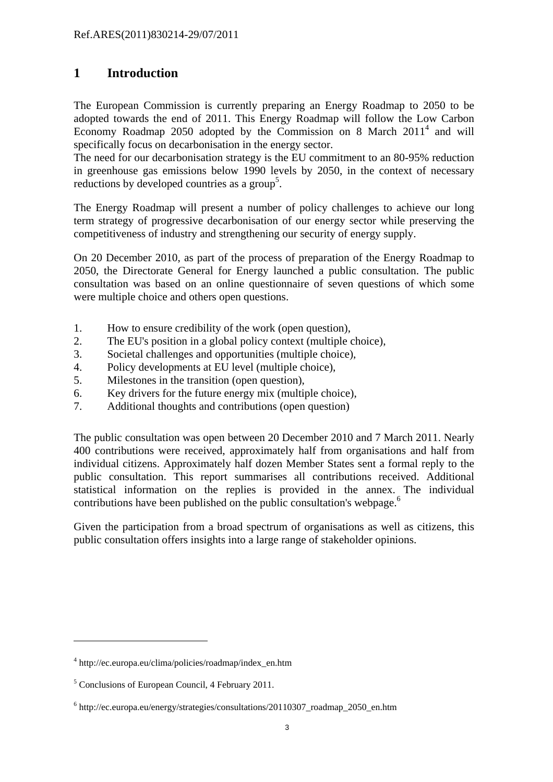# **1 Introduction**

The European Commission is currently preparing an Energy Roadmap to 2050 to be adopted towards the end of 2011. This Energy Roadmap will follow the Low Carbon Economy Roadmap 2050 adopted by the Commission on 8 March  $2011<sup>4</sup>$  and will specifically focus on decarbonisation in the energy sector.

The need for our decarbonisation strategy is the EU commitment to an 80-95% reduction in greenhouse gas emissions below 1990 levels by 2050, in the context of necessary reductions by developed countries as a group<sup>5</sup>.

The Energy Roadmap will present a number of policy challenges to achieve our long term strategy of progressive decarbonisation of our energy sector while preserving the competitiveness of industry and strengthening our security of energy supply.

On 20 December 2010, as part of the process of preparation of the Energy Roadmap to 2050, the Directorate General for Energy launched a public consultation. The public consultation was based on an online questionnaire of seven questions of which some were multiple choice and others open questions.

- 1. How to ensure credibility of the work (open question),
- 2. The EU's position in a global policy context (multiple choice),
- 3. Societal challenges and opportunities (multiple choice),
- 4. Policy developments at EU level (multiple choice),
- 5. Milestones in the transition (open question),
- 6. Key drivers for the future energy mix (multiple choice),
- 7. Additional thoughts and contributions (open question)

The public consultation was open between 20 December 2010 and 7 March 2011. Nearly 400 contributions were received, approximately half from organisations and half from individual citizens. Approximately half dozen Member States sent a formal reply to the public consultation. This report summarises all contributions received. Additional statistical information on the replies is provided in the annex. The individual contributions have been published on the public consultation's webpage.<sup>6</sup>

Given the participation from a broad spectrum of organisations as well as citizens, this public consultation offers insights into a large range of stakeholder opinions.

 $\overline{a}$ 

<sup>4</sup> http://ec.europa.eu/clima/policies/roadmap/index\_en.htm

<sup>&</sup>lt;sup>5</sup> Conclusions of European Council, 4 February 2011.

<sup>&</sup>lt;sup>6</sup> http://ec.europa.eu/energy/strategies/consultations/20110307\_roadmap\_2050\_en.htm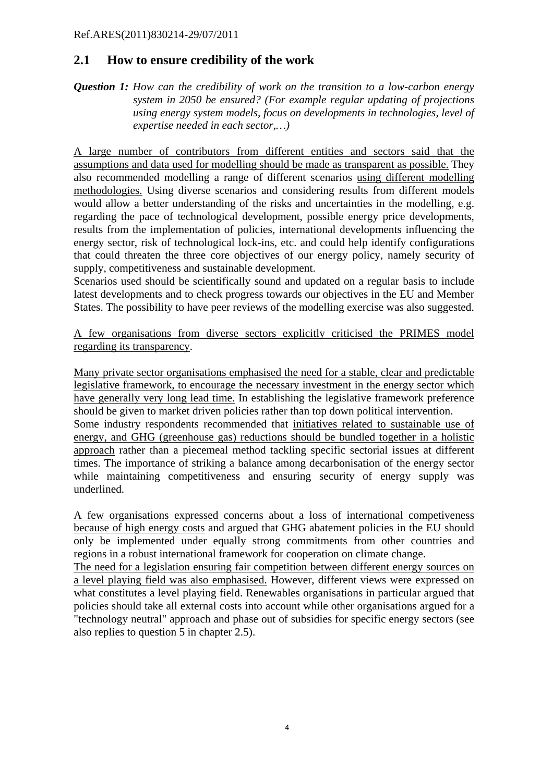## **2.1 How to ensure credibility of the work**

*Question 1: How can the credibility of work on the transition to a low-carbon energy system in 2050 be ensured? (For example regular updating of projections using energy system models, focus on developments in technologies, level of expertise needed in each sector,…)* 

A large number of contributors from different entities and sectors said that the assumptions and data used for modelling should be made as transparent as possible. They also recommended modelling a range of different scenarios using different modelling methodologies. Using diverse scenarios and considering results from different models would allow a better understanding of the risks and uncertainties in the modelling, e.g. regarding the pace of technological development, possible energy price developments, results from the implementation of policies, international developments influencing the energy sector, risk of technological lock-ins, etc. and could help identify configurations that could threaten the three core objectives of our energy policy, namely security of supply, competitiveness and sustainable development.

Scenarios used should be scientifically sound and updated on a regular basis to include latest developments and to check progress towards our objectives in the EU and Member States. The possibility to have peer reviews of the modelling exercise was also suggested.

A few organisations from diverse sectors explicitly criticised the PRIMES model regarding its transparency.

Many private sector organisations emphasised the need for a stable, clear and predictable legislative framework, to encourage the necessary investment in the energy sector which have generally very long lead time. In establishing the legislative framework preference should be given to market driven policies rather than top down political intervention. Some industry respondents recommended that initiatives related to sustainable use of energy, and GHG (greenhouse gas) reductions should be bundled together in a holistic approach rather than a piecemeal method tackling specific sectorial issues at different times. The importance of striking a balance among decarbonisation of the energy sector while maintaining competitiveness and ensuring security of energy supply was underlined.

A few organisations expressed concerns about a loss of international competiveness because of high energy costs and argued that GHG abatement policies in the EU should only be implemented under equally strong commitments from other countries and regions in a robust international framework for cooperation on climate change.

The need for a legislation ensuring fair competition between different energy sources on a level playing field was also emphasised. However, different views were expressed on what constitutes a level playing field. Renewables organisations in particular argued that policies should take all external costs into account while other organisations argued for a "technology neutral" approach and phase out of subsidies for specific energy sectors (see also replies to question 5 in chapter 2.5).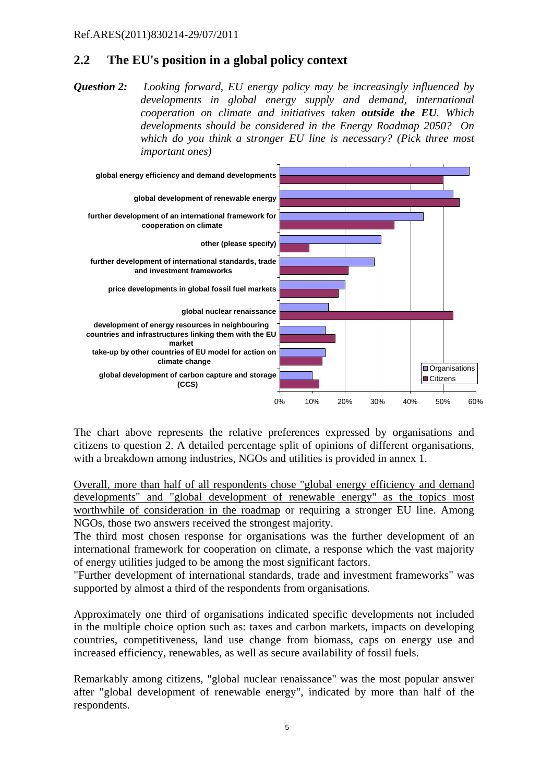# **2.2 The EU's position in a global policy context**

*Question 2: Looking forward, EU energy policy may be increasingly influenced by developments in global energy supply and demand, international cooperation on climate and initiatives taken outside the EU. Which developments should be considered in the Energy Roadmap 2050? On which do you think a stronger EU line is necessary? (Pick three most important ones)* 



The chart above represents the relative preferences expressed by organisations and citizens to question 2. A detailed percentage split of opinions of different organisations, with a breakdown among industries, NGOs and utilities is provided in annex 1.

Overall, more than half of all respondents chose "global energy efficiency and demand developments" and "global development of renewable energy" as the topics most worthwhile of consideration in the roadmap or requiring a stronger EU line. Among NGOs, those two answers received the strongest majority.

The third most chosen response for organisations was the further development of an international framework for cooperation on climate, a response which the vast majority of energy utilities judged to be among the most significant factors.

"Further development of international standards, trade and investment frameworks" was supported by almost a third of the respondents from organisations.

Approximately one third of organisations indicated specific developments not included in the multiple choice option such as: taxes and carbon markets, impacts on developing countries, competitiveness, land use change from biomass, caps on energy use and increased efficiency, renewables, as well as secure availability of fossil fuels.

Remarkably among citizens, "global nuclear renaissance" was the most popular answer after "global development of renewable energy", indicated by more than half of the respondents.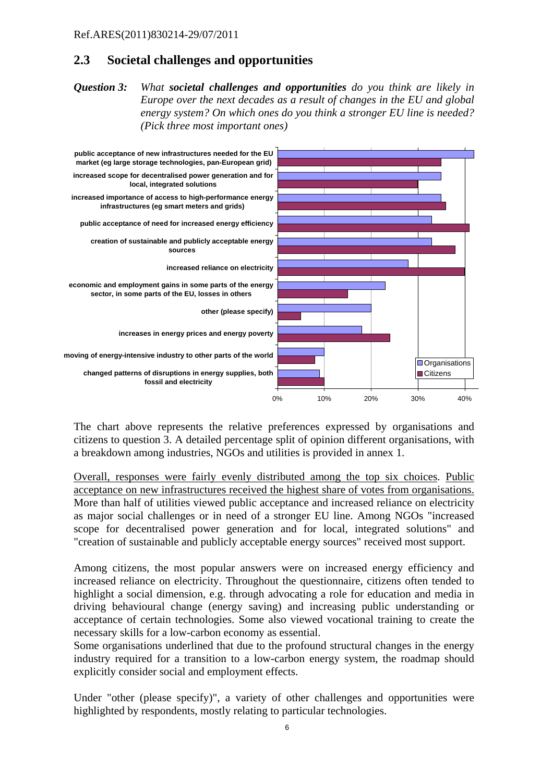# **2.3 Societal challenges and opportunities**

*Question 3: What societal challenges and opportunities do you think are likely in Europe over the next decades as a result of changes in the EU and global energy system? On which ones do you think a stronger EU line is needed? (Pick three most important ones)* 



The chart above represents the relative preferences expressed by organisations and citizens to question 3. A detailed percentage split of opinion different organisations, with a breakdown among industries, NGOs and utilities is provided in annex 1.

Overall, responses were fairly evenly distributed among the top six choices. Public acceptance on new infrastructures received the highest share of votes from organisations. More than half of utilities viewed public acceptance and increased reliance on electricity as major social challenges or in need of a stronger EU line. Among NGOs "increased scope for decentralised power generation and for local, integrated solutions" and "creation of sustainable and publicly acceptable energy sources" received most support.

Among citizens, the most popular answers were on increased energy efficiency and increased reliance on electricity. Throughout the questionnaire, citizens often tended to highlight a social dimension, e.g. through advocating a role for education and media in driving behavioural change (energy saving) and increasing public understanding or acceptance of certain technologies. Some also viewed vocational training to create the necessary skills for a low-carbon economy as essential.

Some organisations underlined that due to the profound structural changes in the energy industry required for a transition to a low-carbon energy system, the roadmap should explicitly consider social and employment effects.

Under "other (please specify)", a variety of other challenges and opportunities were highlighted by respondents, mostly relating to particular technologies.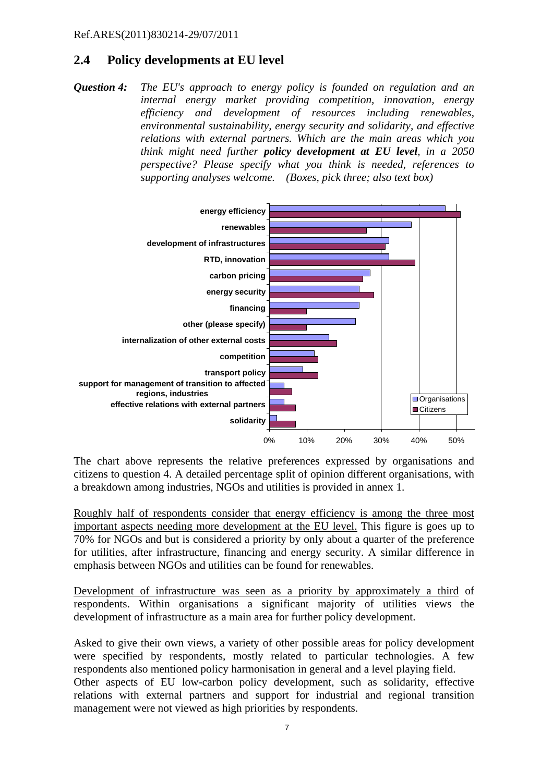# **2.4 Policy developments at EU level**

*Question 4: The EU's approach to energy policy is founded on regulation and an internal energy market providing competition, innovation, energy efficiency and development of resources including renewables, environmental sustainability, energy security and solidarity, and effective relations with external partners. Which are the main areas which you think might need further policy development at EU level, in a 2050 perspective? Please specify what you think is needed, references to supporting analyses welcome. (Boxes, pick three; also text box)* 



The chart above represents the relative preferences expressed by organisations and citizens to question 4. A detailed percentage split of opinion different organisations, with a breakdown among industries, NGOs and utilities is provided in annex 1.

Roughly half of respondents consider that energy efficiency is among the three most important aspects needing more development at the EU level. This figure is goes up to 70% for NGOs and but is considered a priority by only about a quarter of the preference for utilities, after infrastructure, financing and energy security. A similar difference in emphasis between NGOs and utilities can be found for renewables.

Development of infrastructure was seen as a priority by approximately a third of respondents. Within organisations a significant majority of utilities views the development of infrastructure as a main area for further policy development.

Asked to give their own views, a variety of other possible areas for policy development were specified by respondents, mostly related to particular technologies. A few respondents also mentioned policy harmonisation in general and a level playing field.

Other aspects of EU low-carbon policy development, such as solidarity, effective relations with external partners and support for industrial and regional transition management were not viewed as high priorities by respondents.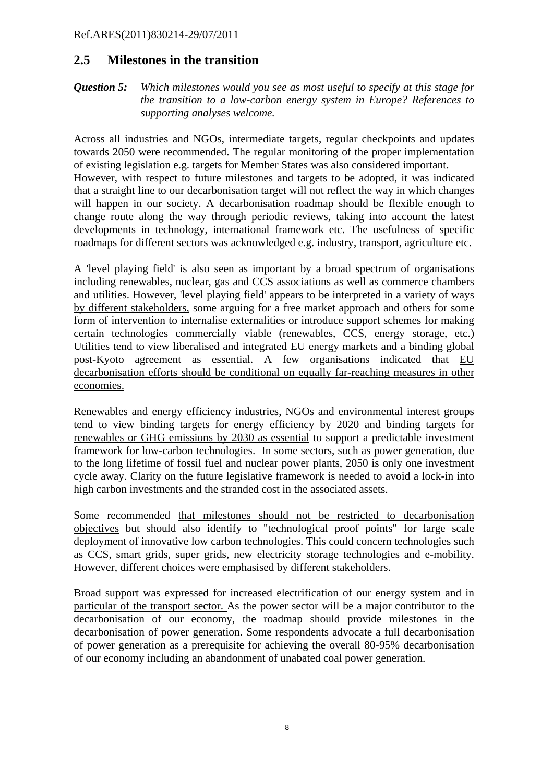### **2.5 Milestones in the transition**

*Question 5:**Which milestones would you see as most useful to specify at this stage for the transition to a low-carbon energy system in Europe? References to supporting analyses welcome.* 

Across all industries and NGOs, intermediate targets, regular checkpoints and updates towards 2050 were recommended. The regular monitoring of the proper implementation of existing legislation e.g. targets for Member States was also considered important. However, with respect to future milestones and targets to be adopted, it was indicated that a straight line to our decarbonisation target will not reflect the way in which changes will happen in our society. A decarbonisation roadmap should be flexible enough to change route along the way through periodic reviews, taking into account the latest developments in technology, international framework etc. The usefulness of specific roadmaps for different sectors was acknowledged e.g. industry, transport, agriculture etc.

A 'level playing field' is also seen as important by a broad spectrum of organisations including renewables, nuclear, gas and CCS associations as well as commerce chambers and utilities. However, 'level playing field' appears to be interpreted in a variety of ways by different stakeholders, some arguing for a free market approach and others for some form of intervention to internalise externalities or introduce support schemes for making certain technologies commercially viable (renewables, CCS, energy storage, etc.) Utilities tend to view liberalised and integrated EU energy markets and a binding global post-Kyoto agreement as essential. A few organisations indicated that EU decarbonisation efforts should be conditional on equally far-reaching measures in other economies.

Renewables and energy efficiency industries, NGOs and environmental interest groups tend to view binding targets for energy efficiency by 2020 and binding targets for renewables or GHG emissions by 2030 as essential to support a predictable investment framework for low-carbon technologies. In some sectors, such as power generation, due to the long lifetime of fossil fuel and nuclear power plants, 2050 is only one investment cycle away. Clarity on the future legislative framework is needed to avoid a lock-in into high carbon investments and the stranded cost in the associated assets.

Some recommended that milestones should not be restricted to decarbonisation objectives but should also identify to "technological proof points" for large scale deployment of innovative low carbon technologies. This could concern technologies such as CCS, smart grids, super grids, new electricity storage technologies and e-mobility. However, different choices were emphasised by different stakeholders.

Broad support was expressed for increased electrification of our energy system and in particular of the transport sector. As the power sector will be a major contributor to the decarbonisation of our economy, the roadmap should provide milestones in the decarbonisation of power generation. Some respondents advocate a full decarbonisation of power generation as a prerequisite for achieving the overall 80-95% decarbonisation of our economy including an abandonment of unabated coal power generation.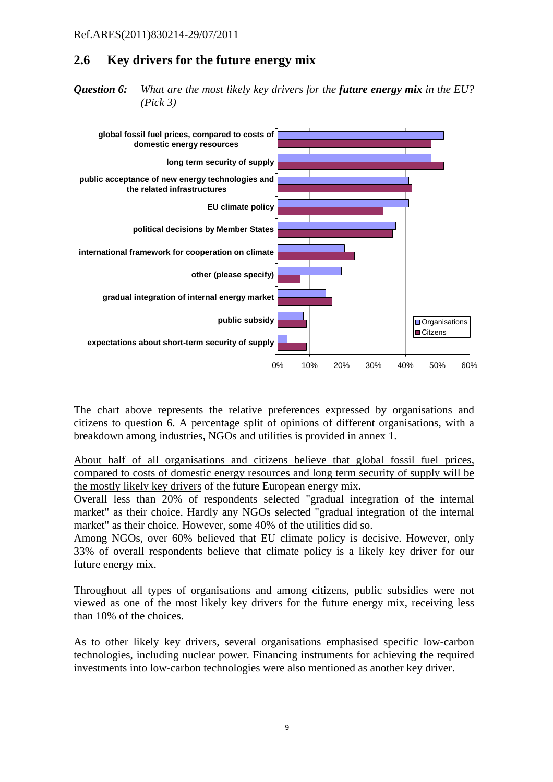# **2.6 Key drivers for the future energy mix**

*Question 6: What are the most likely key drivers for the future energy mix in the EU? (Pick 3)* 



The chart above represents the relative preferences expressed by organisations and citizens to question 6. A percentage split of opinions of different organisations, with a breakdown among industries, NGOs and utilities is provided in annex 1.

About half of all organisations and citizens believe that global fossil fuel prices, compared to costs of domestic energy resources and long term security of supply will be the mostly likely key drivers of the future European energy mix.

Overall less than 20% of respondents selected "gradual integration of the internal market" as their choice. Hardly any NGOs selected "gradual integration of the internal market" as their choice. However, some 40% of the utilities did so.

Among NGOs, over 60% believed that EU climate policy is decisive. However, only 33% of overall respondents believe that climate policy is a likely key driver for our future energy mix.

Throughout all types of organisations and among citizens, public subsidies were not viewed as one of the most likely key drivers for the future energy mix, receiving less than 10% of the choices.

As to other likely key drivers, several organisations emphasised specific low-carbon technologies, including nuclear power. Financing instruments for achieving the required investments into low-carbon technologies were also mentioned as another key driver.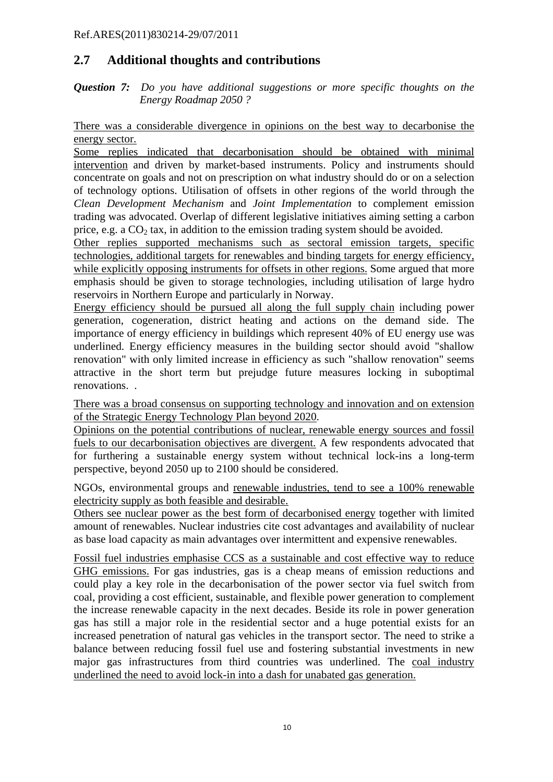# **2.7 Additional thoughts and contributions**

*Question 7: Do you have additional suggestions or more specific thoughts on the Energy Roadmap 2050 ?* 

There was a considerable divergence in opinions on the best way to decarbonise the energy sector.

Some replies indicated that decarbonisation should be obtained with minimal intervention and driven by market-based instruments. Policy and instruments should concentrate on goals and not on prescription on what industry should do or on a selection of technology options. Utilisation of offsets in other regions of the world through the *Clean Development Mechanism* and *Joint Implementation* to complement emission trading was advocated. Overlap of different legislative initiatives aiming setting a carbon price, e.g. a  $CO<sub>2</sub>$  tax, in addition to the emission trading system should be avoided.

Other replies supported mechanisms such as sectoral emission targets, specific technologies, additional targets for renewables and binding targets for energy efficiency, while explicitly opposing instruments for offsets in other regions. Some argued that more emphasis should be given to storage technologies, including utilisation of large hydro reservoirs in Northern Europe and particularly in Norway.

Energy efficiency should be pursued all along the full supply chain including power generation, cogeneration, district heating and actions on the demand side. The importance of energy efficiency in buildings which represent 40% of EU energy use was underlined. Energy efficiency measures in the building sector should avoid "shallow renovation" with only limited increase in efficiency as such "shallow renovation" seems attractive in the short term but prejudge future measures locking in suboptimal renovations. .

There was a broad consensus on supporting technology and innovation and on extension of the Strategic Energy Technology Plan beyond 2020.

Opinions on the potential contributions of nuclear, renewable energy sources and fossil fuels to our decarbonisation objectives are divergent. A few respondents advocated that for furthering a sustainable energy system without technical lock-ins a long-term perspective, beyond 2050 up to 2100 should be considered.

NGOs, environmental groups and renewable industries, tend to see a 100% renewable electricity supply as both feasible and desirable.

Others see nuclear power as the best form of decarbonised energy together with limited amount of renewables. Nuclear industries cite cost advantages and availability of nuclear as base load capacity as main advantages over intermittent and expensive renewables.

Fossil fuel industries emphasise CCS as a sustainable and cost effective way to reduce GHG emissions. For gas industries, gas is a cheap means of emission reductions and could play a key role in the decarbonisation of the power sector via fuel switch from coal, providing a cost efficient, sustainable, and flexible power generation to complement the increase renewable capacity in the next decades. Beside its role in power generation gas has still a major role in the residential sector and a huge potential exists for an increased penetration of natural gas vehicles in the transport sector. The need to strike a balance between reducing fossil fuel use and fostering substantial investments in new major gas infrastructures from third countries was underlined. The coal industry underlined the need to avoid lock-in into a dash for unabated gas generation.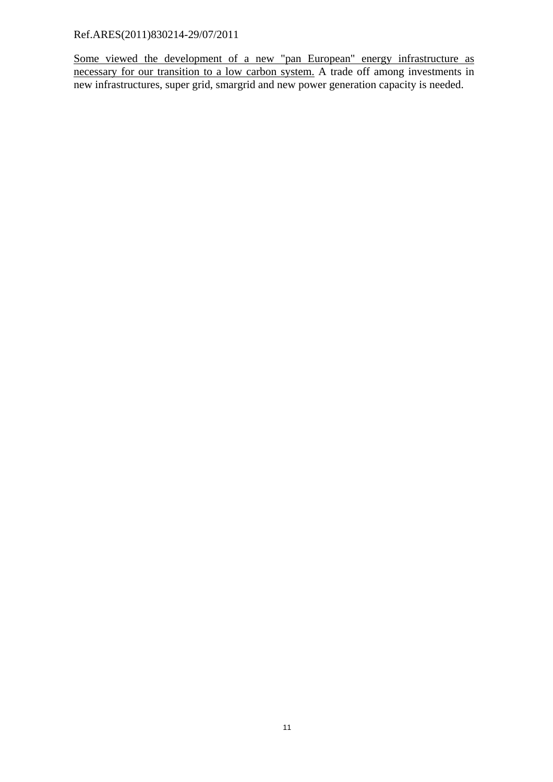Some viewed the development of a new "pan European" energy infrastructure as necessary for our transition to a low carbon system. A trade off among investments in new infrastructures, super grid, smargrid and new power generation capacity is needed.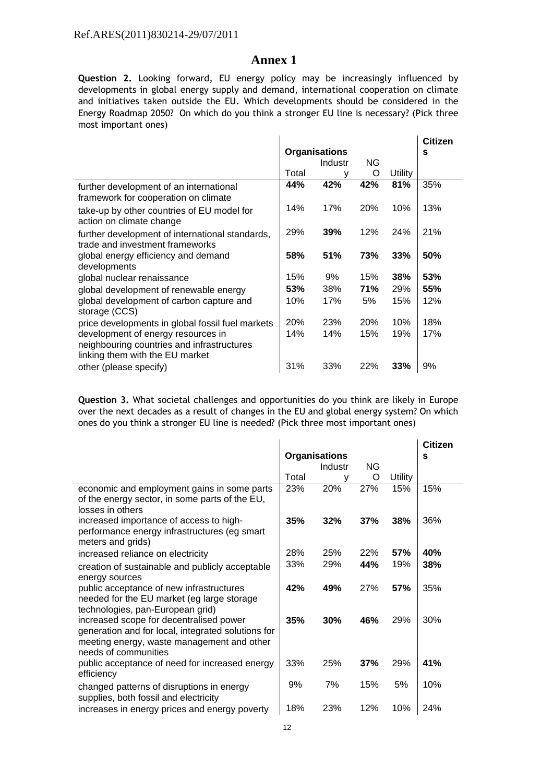## **Annex 1**

**Question 2.** Looking forward, EU energy policy may be increasingly influenced by developments in global energy supply and demand, international cooperation on climate and initiatives taken outside the EU. Which developments should be considered in the Energy Roadmap 2050? On which do you think a stronger EU line is necessary? (Pick three most important ones)

 $\mathcal{L}_{\mathcal{A}}$ 

 $\frac{1}{2}$ 

 $\mathcal{L}_{\mathrm{in}}$ 

|                      |         |     |         | <b>Citizen</b> |  |
|----------------------|---------|-----|---------|----------------|--|
| <b>Organisations</b> |         |     | S       |                |  |
|                      | Industr | ΝG  |         |                |  |
| Total                |         | O   | Utility |                |  |
| 44%                  | 42%     | 42% | 81%     | 35%            |  |
| 14%                  | 17%     | 20% | 10%     | 13%            |  |
| 29%                  | 39%     | 12% | 24%     | 21%            |  |
| 58%                  | 51%     | 73% | 33%     | 50%            |  |
| 15%                  | 9%      | 15% | 38%     | 53%            |  |
| 53%                  | 38%     | 71% | 29%     | 55%            |  |
| 10%                  | 17%     | 5%  | 15%     | 12%            |  |
| 20%                  | 23%     | 20% | 10%     | 18%            |  |
| 14%                  | 14%     | 15% | 19%     | 17%            |  |
| 31%                  | 33%     | 22% | 33%     | 9%             |  |
|                      |         |     |         |                |  |

**Question 3.** What societal challenges and opportunities do you think are likely in Europe over the next decades as a result of changes in the EU and global energy system? On which ones do you think a stronger EU line is needed? (Pick three most important ones)

 $\mathcal{L}_{\mathbf{r}}$ 

|                                                    |                      |         |            |         | <b>Citizen</b> |
|----------------------------------------------------|----------------------|---------|------------|---------|----------------|
|                                                    | <b>Organisations</b> |         |            |         | s              |
|                                                    |                      | Industr | <b>NG</b>  |         |                |
|                                                    | Total                |         | O          | Utility |                |
| economic and employment gains in some parts        | 23%                  | 20%     | 27%        | 15%     | 15%            |
| of the energy sector, in some parts of the EU,     |                      |         |            |         |                |
| losses in others                                   |                      |         |            |         |                |
| increased importance of access to high-            | 35%                  | 32%     | 37%        | 38%     | 36%            |
| performance energy infrastructures (eg smart       |                      |         |            |         |                |
| meters and grids)                                  |                      |         |            |         |                |
| increased reliance on electricity                  | 28%                  | 25%     | 22%        | 57%     | 40%            |
| creation of sustainable and publicly acceptable    | 33%                  | 29%     | 44%        | 19%     | 38%            |
| energy sources                                     |                      |         |            |         |                |
| public acceptance of new infrastructures           | 42%                  | 49%     | <b>27%</b> | 57%     | 35%            |
| needed for the EU market (eg large storage         |                      |         |            |         |                |
| technologies, pan-European grid)                   |                      |         |            |         |                |
| increased scope for decentralised power            | 35%                  | 30%     | 46%        | 29%     | 30%            |
| generation and for local, integrated solutions for |                      |         |            |         |                |
| meeting energy, waste management and other         |                      |         |            |         |                |
| needs of communities                               |                      |         |            |         |                |
| public acceptance of need for increased energy     | 33%                  | 25%     | 37%        | 29%     | 41%            |
| efficiency                                         |                      |         |            |         |                |
| changed patterns of disruptions in energy          | 9%                   | 7%      | 15%        | 5%      | 10%            |
| supplies, both fossil and electricity              |                      |         |            |         |                |
| increases in energy prices and energy poverty      | 18%                  | 23%     | 12%        | 10%     | 24%            |
|                                                    |                      |         |            |         |                |